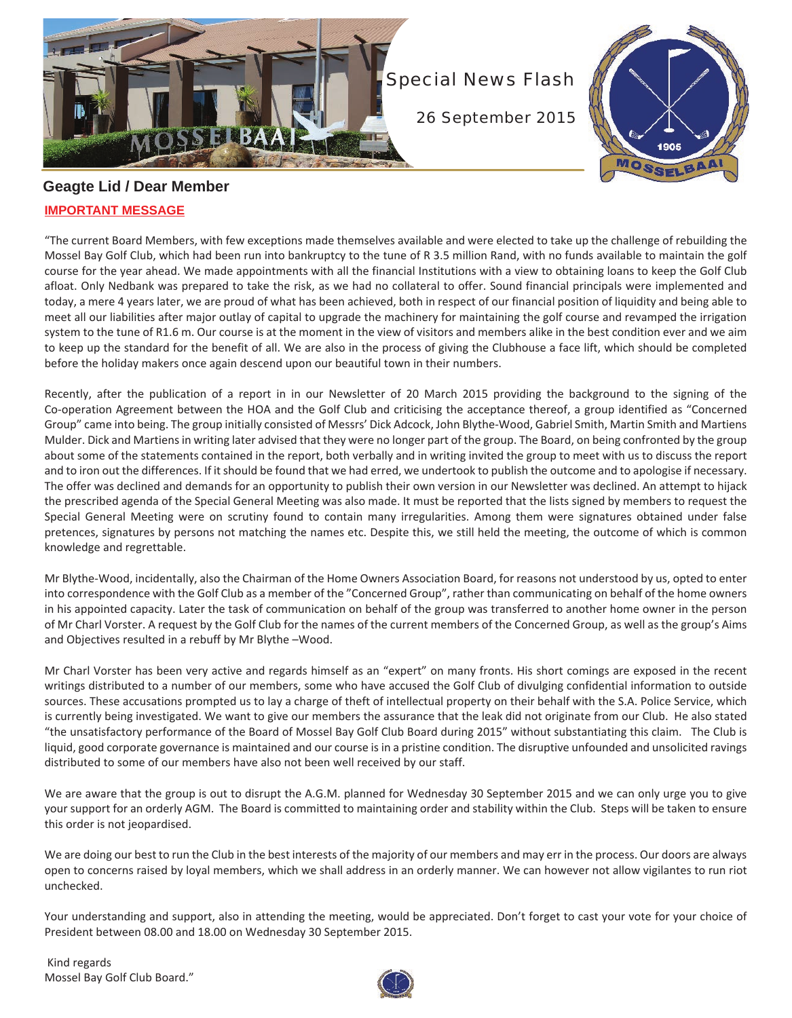



## **Geagte Lid / Dear Member IMPORTANT MESSAGE**

"The current Board Members, with few exceptions made themselves available and were elected to take up the challenge of rebuilding the Mossel Bay Golf Club, which had been run into bankruptcy to the tune of R 3.5 million Rand, with no funds available to maintain the golf course for the year ahead. We made appointments with all the financial Institutions with a view to obtaining loans to keep the Golf Club afloat. Only Nedbank was prepared to take the risk, as we had no collateral to offer. Sound financial principals were implemented and today, a mere 4 years later, we are proud of what has been achieved, both in respect of our financial position of liquidity and being able to meet all our liabilities after major outlay of capital to upgrade the machinery for maintaining the golf course and revamped the irrigation system to the tune of R1.6 m. Our course is at the moment in the view of visitors and members alike in the best condition ever and we aim to keep up the standard for the benefit of all. We are also in the process of giving the Clubhouse a face lift, which should be completed before the holiday makers once again descend upon our beautiful town in their numbers.

Recently, after the publication of a report in in our Newsletter of 20 March 2015 providing the background to the signing of the Co-operation Agreement between the HOA and the Golf Club and criticising the acceptance thereof, a group identified as "Concerned Group" came into being. The group initially consisted of Messrs' Dick Adcock, John Blythe-Wood, Gabriel Smith, Martin Smith and Martiens Mulder. Dick and Martiens in writing later advised that they were no longer part of the group. The Board, on being confronted by the group about some of the statements contained in the report, both verbally and in writing invited the group to meet with us to discuss the report and to iron out the differences. If it should be found that we had erred, we undertook to publish the outcome and to apologise if necessary. The offer was declined and demands for an opportunity to publish their own version in our Newsletter was declined. An attempt to hijack the prescribed agenda of the Special General Meeting was also made. It must be reported that the lists signed by members to request the Special General Meeting were on scrutiny found to contain many irregularities. Among them were signatures obtained under false pretences, signatures by persons not matching the names etc. Despite this, we still held the meeting, the outcome of which is common knowledge and regrettable.

Mr Blythe-Wood, incidentally, also the Chairman of the Home Owners Association Board, for reasons not understood by us, opted to enter into correspondence with the Golf Club as a member of the "Concerned Group", rather than communicating on behalf of the home owners in his appointed capacity. Later the task of communication on behalf of the group was transferred to another home owner in the person of Mr Charl Vorster. A request by the Golf Club for the names of the current members of the Concerned Group, as well as the group's Aims and Objectives resulted in a rebuff by Mr Blythe –Wood.

Mr Charl Vorster has been very active and regards himself as an "expert" on many fronts. His short comings are exposed in the recent writings distributed to a number of our members, some who have accused the Golf Club of divulging confidential information to outside sources. These accusations prompted us to lay a charge of theft of intellectual property on their behalf with the S.A. Police Service, which is currently being investigated. We want to give our members the assurance that the leak did not originate from our Club. He also stated "the unsatisfactory performance of the Board of Mossel Bay Golf Club Board during 2015" without substantiating this claim. The Club is liquid, good corporate governance is maintained and our course is in a pristine condition. The disruptive unfounded and unsolicited ravings distributed to some of our members have also not been well received by our staff.

We are aware that the group is out to disrupt the A.G.M. planned for Wednesday 30 September 2015 and we can only urge you to give your support for an orderly AGM. The Board is committed to maintaining order and stability within the Club. Steps will be taken to ensure this order is not jeopardised.

We are doing our best to run the Club in the best interests of the majority of our members and may err in the process. Our doors are always open to concerns raised by loyal members, which we shall address in an orderly manner. We can however not allow vigilantes to run riot unchecked.

Your understanding and support, also in attending the meeting, would be appreciated. Don't forget to cast your vote for your choice of President between 08.00 and 18.00 on Wednesday 30 September 2015.

 Kind regards Mossel Bay Golf Club Board."

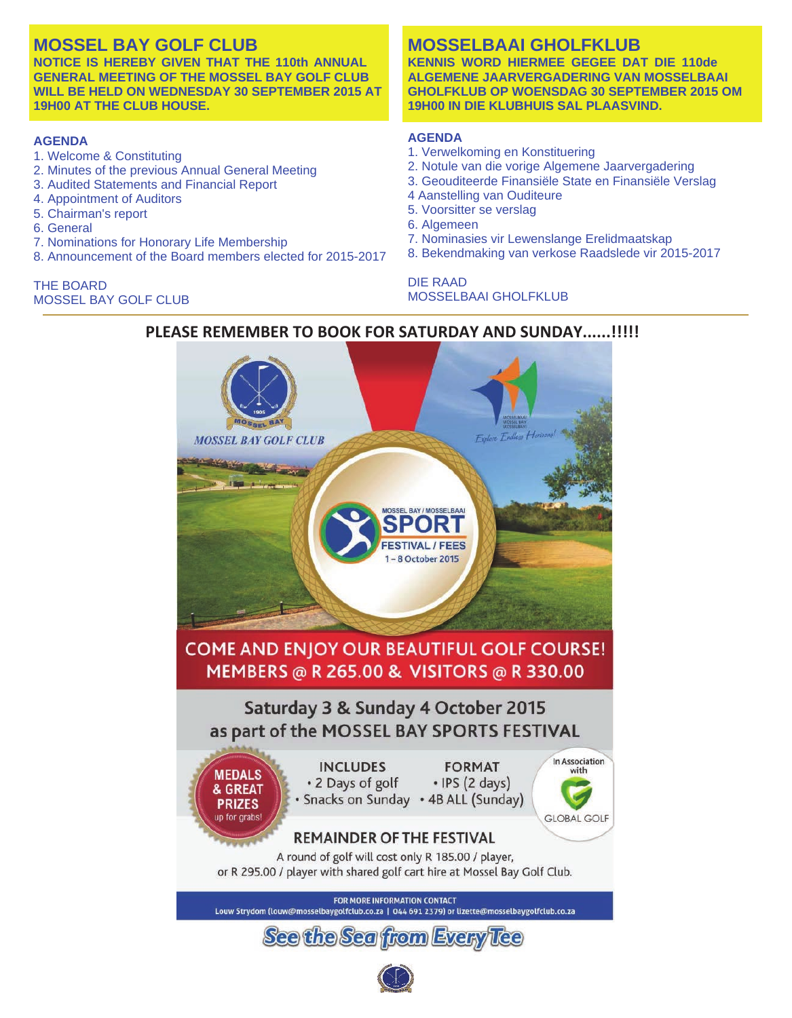## **MOSSEL BAY GOLF CLUB**

**NOTICE IS HEREBY GIVEN THAT THE 110th ANNUAL GENERAL MEETING OF THE MOSSEL BAY GOLF CLUB WILL BE HELD ON WEDNESDAY 30 SEPTEMBER 2015 AT 19H00 AT THE CLUB HOUSE.**

#### **AGENDA**

- 1. Welcome & Constituting
- 2. Minutes of the previous Annual General Meeting
- 3. Audited Statements and Financial Report
- 4. Appointment of Auditors
- 5. Chairman's report
- 6. General
- 7. Nominations for Honorary Life Membership
- 8. Announcement of the Board members elected for 2015-2017

THE BOARD MOSSEL BAY GOLF CLUB

# **MOSSELBAAI GHOLFKLUB KENNIS WORD HIERMEE GEGEE DAT DIE 110de**

**ALGEMENE JAARVERGADERING VAN MOSSELBAAI GHOLFKLUB OP WOENSDAG 30 SEPTEMBER 2015 OM 19H00 IN DIE KLUBHUIS SAL PLAASVIND.**

#### **AGENDA**

- 1. Verwelkoming en Konstituering
- 2. Notule van die vorige Algemene Jaarvergadering
- 3. Geouditeerde Finansiële State en Finansiële Verslag
- 4 Aanstelling van Ouditeure
- 5. Voorsitter se verslag
- 6. Algemeen
- 7. Nominasies vir Lewenslange Erelidmaatskap
- 8. Bekendmaking van verkose Raadslede vir 2015-2017

#### DIE RAAD MOSSELBAAI GHOLFKLUB



### **PLEASE REMEMBER TO BOOK FOR SATURDAY AND SUNDAY......!!!!!**